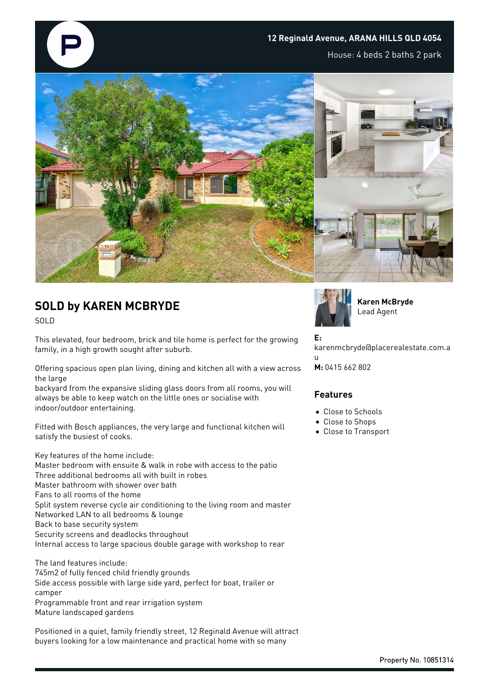

## **12 Reginald Avenue, ARANA HILLS QLD 4054**

House: 4 beds 2 baths 2 park



# **SOLD by KAREN MCBRYDE**

SOLD

This elevated, four bedroom, brick and tile home is perfect for the growing family, in a high growth sought after suburb.

Offering spacious open plan living, dining and kitchen all with a view across the large

backyard from the expansive sliding glass doors from all rooms, you will always be able to keep watch on the little ones or socialise with indoor/outdoor entertaining.

Fitted with Bosch appliances, the very large and functional kitchen will satisfy the busiest of cooks.

Key features of the home include: Master bedroom with ensuite & walk in robe with access to the patio Three additional bedrooms all with built in robes Master bathroom with shower over bath Fans to all rooms of the home Split system reverse cycle air conditioning to the living room and master Networked LAN to all bedrooms & lounge Back to base security system Security screens and deadlocks throughout Internal access to large spacious double garage with workshop to rear

The land features include: 745m2 of fully fenced child friendly grounds Side access possible with large side yard, perfect for boat, trailer or camper Programmable front and rear irrigation system Mature landscaped gardens

Positioned in a quiet, family friendly street, 12 Reginald Avenue will attract buyers looking for a low maintenance and practical home with so many



**Karen McBryde** Lead Agent

**E:** karenmcbryde@placerealestate.com.a u **M:** 0415 662 802

#### **Features**

• Close to Schools

- Close to Shops
- Close to Transport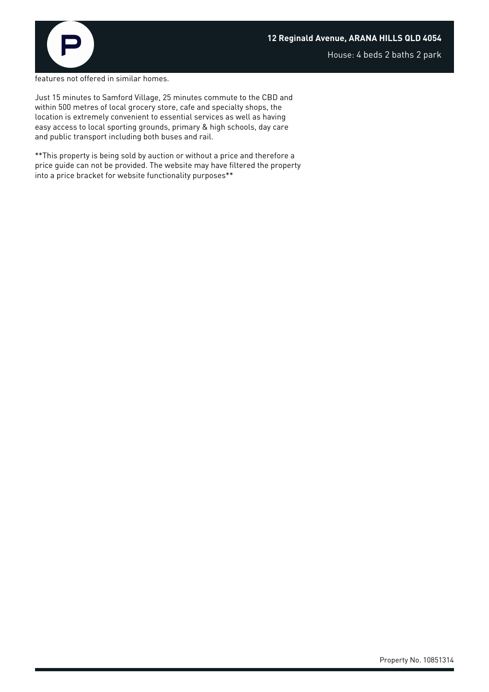

House: 4 beds 2 baths 2 park

features not offered in similar homes.

Just 15 minutes to Samford Village, 25 minutes commute to the CBD and within 500 metres of local grocery store, cafe and specialty shops, the location is extremely convenient to essential services as well as having easy access to local sporting grounds, primary & high schools, day care and public transport including both buses and rail.

\*\*This property is being sold by auction or without a price and therefore a price guide can not be provided. The website may have filtered the property into a price bracket for website functionality purposes\*\*